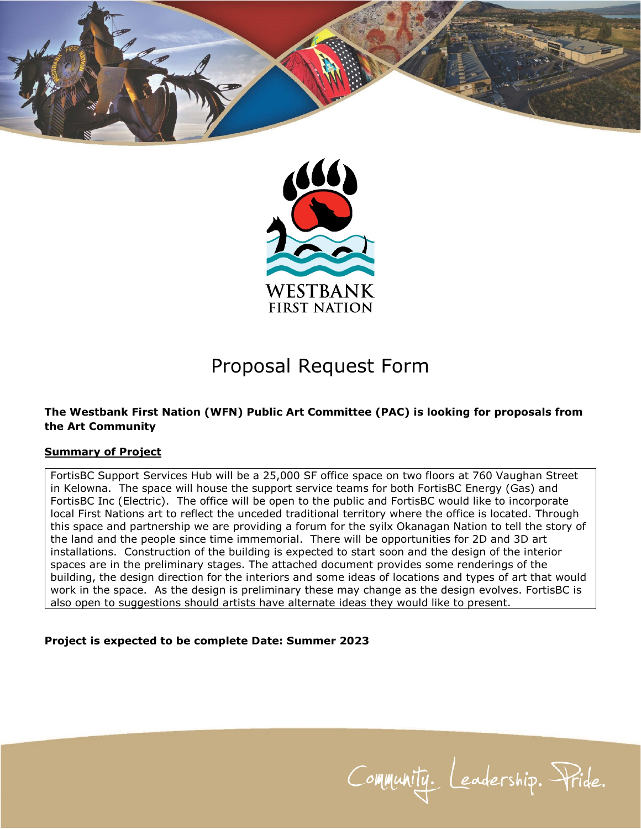



# Proposal Request Form

#### **The Westbank First Nation (WFN) Public Art Committee (PAC) is looking for proposals from the Art Community**

#### **Summary of Project**

FortisBC Support Services Hub will be a 25,000 SF office space on two floors at 760 Vaughan Street in Kelowna. The space will house the support service teams for both FortisBC Energy (Gas) and FortisBC Inc (Electric). The office will be open to the public and FortisBC would like to incorporate local First Nations art to reflect the unceded traditional territory where the office is located. Through this space and partnership we are providing a forum for the syilx Okanagan Nation to tell the story of the land and the people since time immemorial. There will be opportunities for 2D and 3D art installations. Construction of the building is expected to start soon and the design of the interior spaces are in the preliminary stages. The attached document provides some renderings of the building, the design direction for the interiors and some ideas of locations and types of art that would work in the space. As the design is preliminary these may change as the design evolves. FortisBC is also open to suggestions should artists have alternate ideas they would like to present.

#### **Project is expected to be complete Date: Summer 2023**

Community. Leadership. Pride.